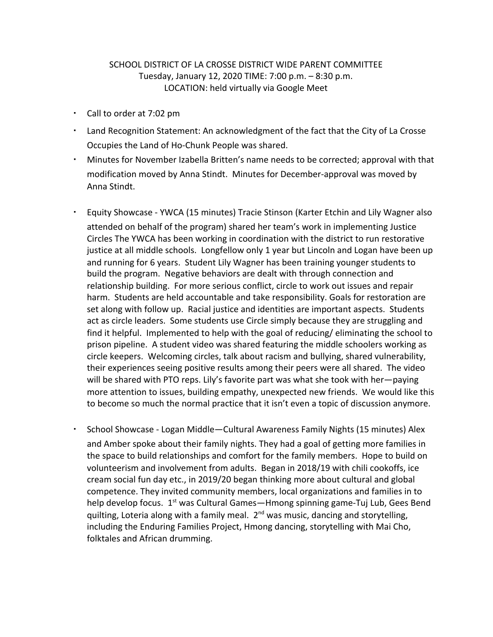## SCHOOL DISTRICT OF LA CROSSE DISTRICT WIDE PARENT COMMITTEE Tuesday, January 12, 2020 TIME: 7:00 p.m. – 8:30 p.m. LOCATION: held virtually via Google Meet

- Call to order at 7:02 pm
- Land Recognition Statement: An acknowledgment of the fact that the City of La Crosse Occupies the Land of Ho-Chunk People was shared.
- Minutes for November Izabella Britten's name needs to be corrected; approval with that modification moved by Anna Stindt. Minutes for December-approval was moved by Anna Stindt.
- Equity Showcase YWCA (15 minutes) Tracie Stinson (Karter Etchin and Lily Wagner also attended on behalf of the program) shared her team's work in implementing Justice Circles The YWCA has been working in coordination with the district to run restorative justice at all middle schools. Longfellow only 1 year but Lincoln and Logan have been up and running for 6 years. Student Lily Wagner has been training younger students to build the program. Negative behaviors are dealt with through connection and relationship building. For more serious conflict, circle to work out issues and repair harm. Students are held accountable and take responsibility. Goals for restoration are set along with follow up. Racial justice and identities are important aspects. Students act as circle leaders. Some students use Circle simply because they are struggling and find it helpful. Implemented to help with the goal of reducing/ eliminating the school to prison pipeline. A student video was shared featuring the middle schoolers working as circle keepers. Welcoming circles, talk about racism and bullying, shared vulnerability, their experiences seeing positive results among their peers were all shared. The video will be shared with PTO reps. Lily's favorite part was what she took with her—paying more attention to issues, building empathy, unexpected new friends. We would like this to become so much the normal practice that it isn't even a topic of discussion anymore.
- School Showcase Logan Middle—Cultural Awareness Family Nights (15 minutes) Alex and Amber spoke about their family nights. They had a goal of getting more families in the space to build relationships and comfort for the family members. Hope to build on volunteerism and involvement from adults. Began in 2018/19 with chili cookoffs, ice cream social fun day etc., in 2019/20 began thinking more about cultural and global competence. They invited community members, local organizations and families in to help develop focus. 1<sup>st</sup> was Cultural Games—Hmong spinning game-Tuj Lub, Gees Bend quilting, Loteria along with a family meal. 2<sup>nd</sup> was music, dancing and storytelling, including the Enduring Families Project, Hmong dancing, storytelling with Mai Cho, folktales and African drumming.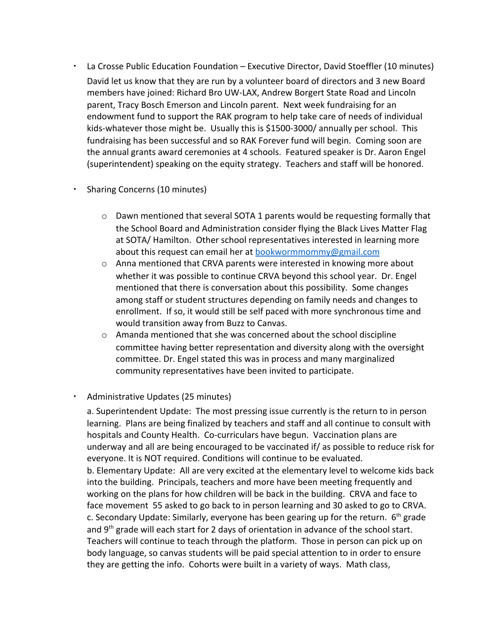La Crosse Public Education Foundation – Executive Director, David Stoeffler (10 minutes) David let us know that they are run by a volunteer board of directors and 3 new Board members have joined: Richard Bro UW-LAX, Andrew Borgert State Road and Lincoln parent, Tracy Bosch Emerson and Lincoln parent. Next week fundraising for an endowment fund to support the RAK program to help take care of needs of individual kids-whatever those might be. Usually this is \$1500-3000/ annually per school. This fundraising has been successful and so RAK Forever fund will begin. Coming soon are the annual grants award ceremonies at 4 schools. Featured speaker is Dr. Aaron Engel (superintendent) speaking on the equity strategy. Teachers and staff will be honored.

## • Sharing Concerns (10 minutes)

- $\circ$  Dawn mentioned that several SOTA 1 parents would be requesting formally that the School Board and Administration consider flying the Black Lives Matter Flag at SOTA/ Hamilton. Other school representatives interested in learning more about this request can email her at [bookwormmommy@gmail.com](mailto:bookwormmommy@gmail.com)
- o Anna mentioned that CRVA parents were interested in knowing more about whether it was possible to continue CRVA beyond this school year. Dr. Engel mentioned that there is conversation about this possibility. Some changes among staff or student structures depending on family needs and changes to enrollment. If so, it would still be self paced with more synchronous time and would transition away from Buzz to Canvas.
- o Amanda mentioned that she was concerned about the school discipline committee having better representation and diversity along with the oversight committee. Dr. Engel stated this was in process and many marginalized community representatives have been invited to participate.

## ▪ Administrative Updates (25 minutes)

a. Superintendent Update: The most pressing issue currently is the return to in person learning. Plans are being finalized by teachers and staff and all continue to consult with hospitals and County Health. Co-curriculars have begun. Vaccination plans are underway and all are being encouraged to be vaccinated if/ as possible to reduce risk for everyone. It is NOT required. Conditions will continue to be evaluated. b. Elementary Update: All are very excited at the elementary level to welcome kids back into the building. Principals, teachers and more have been meeting frequently and working on the plans for how children will be back in the building. CRVA and face to face movement 55 asked to go back to in person learning and 30 asked to go to CRVA. c. Secondary Update: Similarly, everyone has been gearing up for the return.  $6<sup>th</sup>$  grade

and 9<sup>th</sup> grade will each start for 2 days of orientation in advance of the school start. Teachers will continue to teach through the platform. Those in person can pick up on body language, so canvas students will be paid special attention to in order to ensure they are getting the info. Cohorts were built in a variety of ways. Math class,